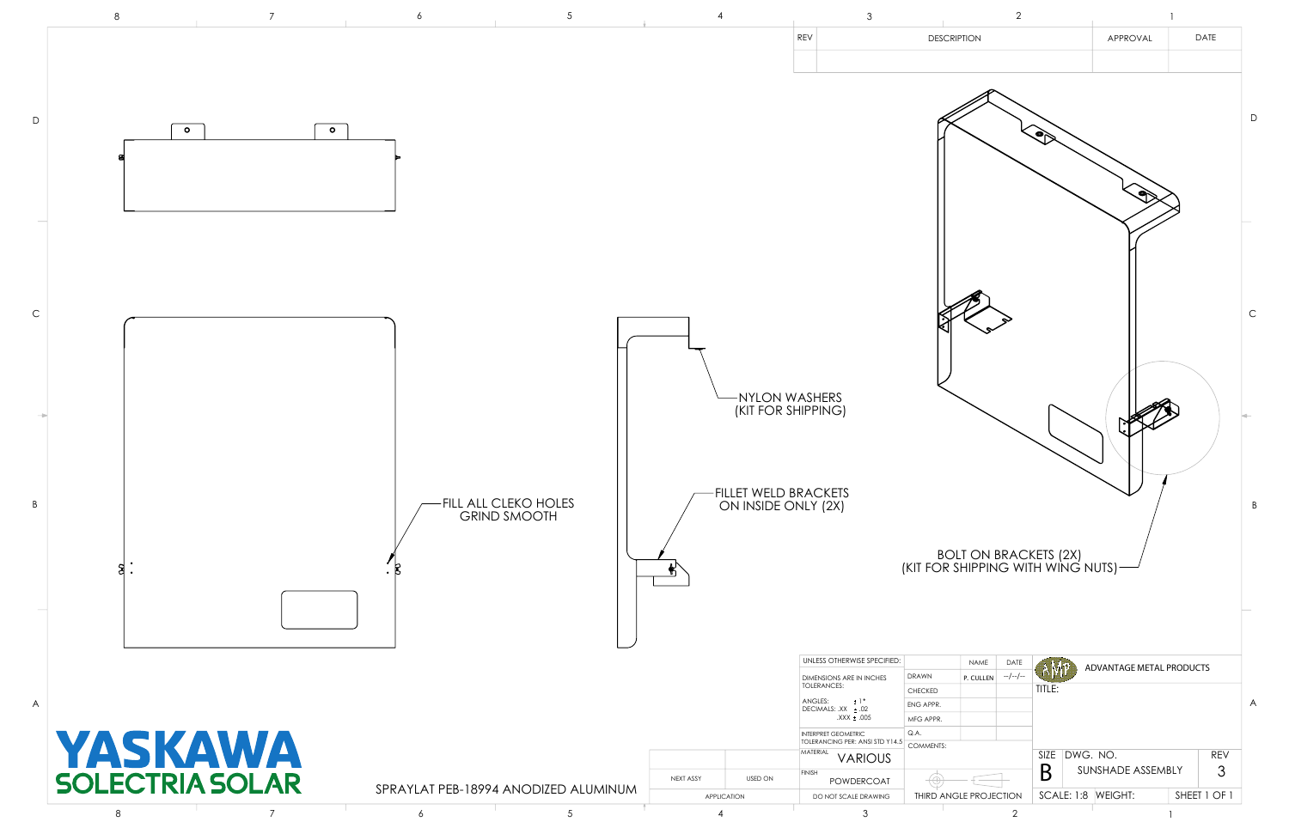